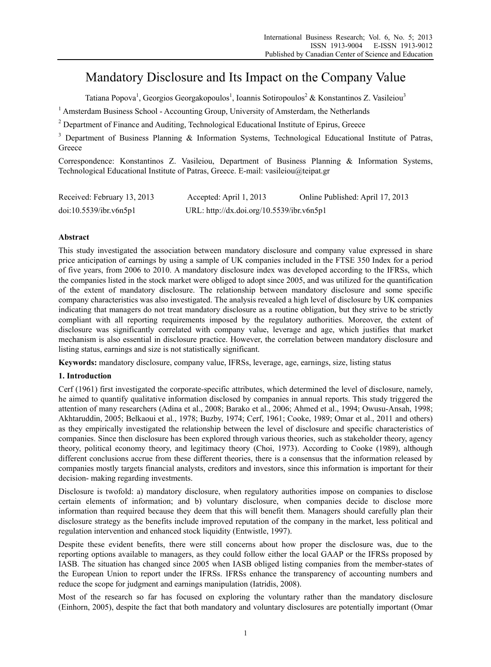# Mandatory Disclosure and Its Impact on the Company Value

Tatiana Popova<sup>1</sup>, Georgios Georgakopoulos<sup>1</sup>, Ioannis Sotiropoulos<sup>2</sup> & Konstantinos Z. Vasileiou<sup>3</sup>

<sup>1</sup> Amsterdam Business School - Accounting Group, University of Amsterdam, the Netherlands

 $2^{2}$  Department of Finance and Auditing, Technological Educational Institute of Epirus, Greece

<sup>3</sup> Department of Business Planning & Information Systems, Technological Educational Institute of Patras, Greece

Correspondence: Konstantinos Z. Vasileiou, Department of Business Planning & Information Systems, Technological Educational Institute of Patras, Greece. E-mail: vasileiou@teipat.gr

| Received: February 13, 2013 | Accepted: April 1, 2013                   | Online Published: April 17, 2013 |
|-----------------------------|-------------------------------------------|----------------------------------|
| doi:10.5539/ibr.v6n5p1      | URL: http://dx.doi.org/10.5539/ibr.v6n5p1 |                                  |

# **Abstract**

This study investigated the association between mandatory disclosure and company value expressed in share price anticipation of earnings by using a sample of UK companies included in the FTSE 350 Index for a period of five years, from 2006 to 2010. A mandatory disclosure index was developed according to the IFRSs, which the companies listed in the stock market were obliged to adopt since 2005, and was utilized for the quantification of the extent of mandatory disclosure. The relationship between mandatory disclosure and some specific company characteristics was also investigated. The analysis revealed a high level of disclosure by UK companies indicating that managers do not treat mandatory disclosure as a routine obligation, but they strive to be strictly compliant with all reporting requirements imposed by the regulatory authorities. Moreover, the extent of disclosure was significantly correlated with company value, leverage and age, which justifies that market mechanism is also essential in disclosure practice. However, the correlation between mandatory disclosure and listing status, earnings and size is not statistically significant.

**Keywords:** mandatory disclosure, company value, IFRSs, leverage, age, earnings, size, listing status

# **1. Introduction**

Cerf (1961) first investigated the corporate-specific attributes, which determined the level of disclosure, namely, he aimed to quantify qualitative information disclosed by companies in annual reports. This study triggered the attention of many researchers (Adina et al., 2008; Barako et al., 2006; Ahmed et al., 1994; Owusu-Ansah, 1998; Akhtaruddin, 2005; Belkaoui et al., 1978; Buzby, 1974; Cerf, 1961; Cooke, 1989; Omar et al., 2011 and others) as they empirically investigated the relationship between the level of disclosure and specific characteristics of companies. Since then disclosure has been explored through various theories, such as stakeholder theory, agency theory, political economy theory, and legitimacy theory (Choi, 1973). According to Cooke (1989), although different conclusions accrue from these different theories, there is a consensus that the information released by companies mostly targets financial analysts, creditors and investors, since this information is important for their decision- making regarding investments.

Disclosure is twofold: a) mandatory disclosure, when regulatory authorities impose on companies to disclose certain elements of information; and b) voluntary disclosure, when companies decide to disclose more information than required because they deem that this will benefit them. Managers should carefully plan their disclosure strategy as the benefits include improved reputation of the company in the market, less political and regulation intervention and enhanced stock liquidity (Entwistle, 1997).

Despite these evident benefits, there were still concerns about how proper the disclosure was, due to the reporting options available to managers, as they could follow either the local GAAP or the IFRSs proposed by IASB. The situation has changed since 2005 when IASB obliged listing companies from the member-states of the European Union to report under the IFRSs. IFRSs enhance the transparency of accounting numbers and reduce the scope for judgment and earnings manipulation (Iatridis, 2008).

Most of the research so far has focused on exploring the voluntary rather than the mandatory disclosure (Einhorn, 2005), despite the fact that both mandatory and voluntary disclosures are potentially important (Omar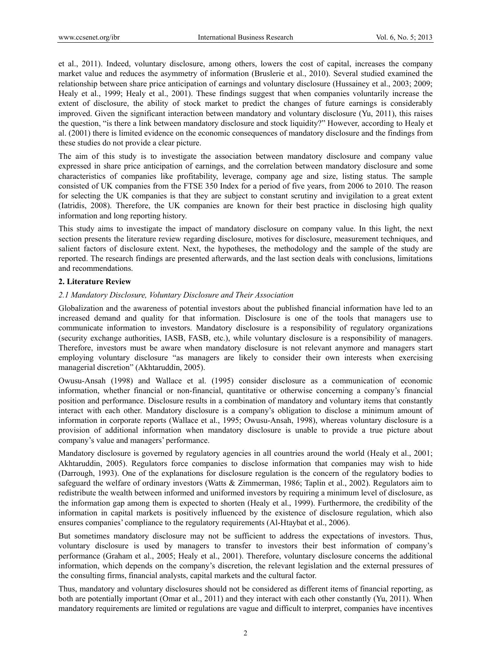et al., 2011). Indeed, voluntary disclosure, among others, lowers the cost of capital, increases the company market value and reduces the asymmetry of information (Bruslerie et al., 2010). Several studied examined the relationship between share price anticipation of earnings and voluntary disclosure (Hussainey et al., 2003; 2009; Healy et al., 1999; Healy et al., 2001). These findings suggest that when companies voluntarily increase the extent of disclosure, the ability of stock market to predict the changes of future earnings is considerably improved. Given the significant interaction between mandatory and voluntary disclosure (Yu, 2011), this raises the question, "is there a link between mandatory disclosure and stock liquidity?" However, according to Healy et al. (2001) there is limited evidence on the economic consequences of mandatory disclosure and the findings from these studies do not provide a clear picture.

The aim of this study is to investigate the association between mandatory disclosure and company value expressed in share price anticipation of earnings, and the correlation between mandatory disclosure and some characteristics of companies like profitability, leverage, company age and size, listing status. The sample consisted of UK companies from the FTSE 350 Index for a period of five years, from 2006 to 2010. The reason for selecting the UK companies is that they are subject to constant scrutiny and invigilation to a great extent (Iatridis, 2008). Therefore, the UK companies are known for their best practice in disclosing high quality information and long reporting history.

This study aims to investigate the impact of mandatory disclosure on company value. In this light, the next section presents the literature review regarding disclosure, motives for disclosure, measurement techniques, and salient factors of disclosure extent. Next, the hypotheses, the methodology and the sample of the study are reported. The research findings are presented afterwards, and the last section deals with conclusions, limitations and recommendations.

# **2. Literature Review**

## *2.1 Mandatory Disclosure, Voluntary Disclosure and Their Association*

Globalization and the awareness of potential investors about the published financial information have led to an increased demand and quality for that information. Disclosure is one of the tools that managers use to communicate information to investors. Mandatory disclosure is a responsibility of regulatory organizations (security exchange authorities, IASB, FASB, etc.), while voluntary disclosure is a responsibility of managers. Therefore, investors must be aware when mandatory disclosure is not relevant anymore and managers start employing voluntary disclosure "as managers are likely to consider their own interests when exercising managerial discretion" (Akhtaruddin, 2005).

Owusu-Ansah (1998) and Wallace et al. (1995) consider disclosure as a communication of economic information, whether financial or non-financial, quantitative or otherwise concerning a company's financial position and performance. Disclosure results in a combination of mandatory and voluntary items that constantly interact with each other. Mandatory disclosure is a company's obligation to disclose a minimum amount of information in corporate reports (Wallace et al., 1995; Owusu-Ansah, 1998), whereas voluntary disclosure is a provision of additional information when mandatory disclosure is unable to provide a true picture about company's value and managers' performance.

Mandatory disclosure is governed by regulatory agencies in all countries around the world (Healy et al., 2001; Akhtaruddin, 2005). Regulators force companies to disclose information that companies may wish to hide (Darrough, 1993). One of the explanations for disclosure regulation is the concern of the regulatory bodies to safeguard the welfare of ordinary investors (Watts & Zimmerman, 1986; Taplin et al., 2002). Regulators aim to redistribute the wealth between informed and uniformed investors by requiring a minimum level of disclosure, as the information gap among them is expected to shorten (Healy et al., 1999). Furthermore, the credibility of the information in capital markets is positively influenced by the existence of disclosure regulation, which also ensures companies' compliance to the regulatory requirements (Al-Htaybat et al., 2006).

But sometimes mandatory disclosure may not be sufficient to address the expectations of investors. Thus, voluntary disclosure is used by managers to transfer to investors their best information of company's performance (Graham et al., 2005; Healy et al., 2001). Therefore, voluntary disclosure concerns the additional information, which depends on the company's discretion, the relevant legislation and the external pressures of the consulting firms, financial analysts, capital markets and the cultural factor.

Thus, mandatory and voluntary disclosures should not be considered as different items of financial reporting, as both are potentially important (Omar et al., 2011) and they interact with each other constantly (Yu, 2011). When mandatory requirements are limited or regulations are vague and difficult to interpret, companies have incentives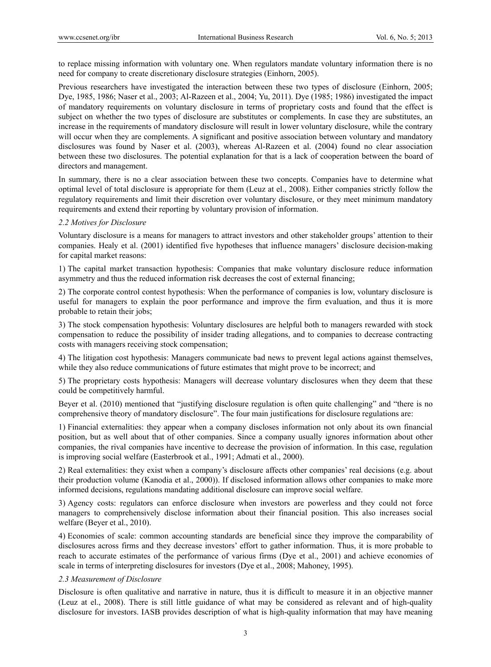to replace missing information with voluntary one. When regulators mandate voluntary information there is no need for company to create discretionary disclosure strategies (Einhorn, 2005).

Previous researchers have investigated the interaction between these two types of disclosure (Einhorn, 2005; Dye, 1985, 1986; Naser et al., 2003; Al-Razeen et al., 2004; Yu, 2011). Dye (1985; 1986) investigated the impact of mandatory requirements on voluntary disclosure in terms of proprietary costs and found that the effect is subject on whether the two types of disclosure are substitutes or complements. In case they are substitutes, an increase in the requirements of mandatory disclosure will result in lower voluntary disclosure, while the contrary will occur when they are complements. A significant and positive association between voluntary and mandatory disclosures was found by Naser et al. (2003), whereas Al-Razeen et al. (2004) found no clear association between these two disclosures. The potential explanation for that is a lack of cooperation between the board of directors and management.

In summary, there is no a clear association between these two concepts. Companies have to determine what optimal level of total disclosure is appropriate for them (Leuz at el., 2008). Either companies strictly follow the regulatory requirements and limit their discretion over voluntary disclosure, or they meet minimum mandatory requirements and extend their reporting by voluntary provision of information.

## *2.2 Motives for Disclosure*

Voluntary disclosure is a means for managers to attract investors and other stakeholder groups' attention to their companies. Healy et al. (2001) identified five hypotheses that influence managers' disclosure decision-making for capital market reasons:

1) The capital market transaction hypothesis: Companies that make voluntary disclosure reduce information asymmetry and thus the reduced information risk decreases the cost of external financing;

2) The corporate control contest hypothesis: When the performance of companies is low, voluntary disclosure is useful for managers to explain the poor performance and improve the firm evaluation, and thus it is more probable to retain their jobs;

3) The stock compensation hypothesis: Voluntary disclosures are helpful both to managers rewarded with stock compensation to reduce the possibility of insider trading allegations, and to companies to decrease contracting costs with managers receiving stock compensation;

4) The litigation cost hypothesis: Managers communicate bad news to prevent legal actions against themselves, while they also reduce communications of future estimates that might prove to be incorrect; and

5) The proprietary costs hypothesis: Managers will decrease voluntary disclosures when they deem that these could be competitively harmful.

Beyer et al. (2010) mentioned that "justifying disclosure regulation is often quite challenging" and "there is no comprehensive theory of mandatory disclosure". The four main justifications for disclosure regulations are:

1) Financial externalities: they appear when a company discloses information not only about its own financial position, but as well about that of other companies. Since a company usually ignores information about other companies, the rival companies have incentive to decrease the provision of information. In this case, regulation is improving social welfare (Easterbrook et al., 1991; Admati et al., 2000).

2) Real externalities: they exist when a company's disclosure affects other companies' real decisions (e.g. about their production volume (Kanodia et al., 2000)). If disclosed information allows other companies to make more informed decisions, regulations mandating additional disclosure can improve social welfare.

3) Agency costs: regulators can enforce disclosure when investors are powerless and they could not force managers to comprehensively disclose information about their financial position. This also increases social welfare (Beyer et al., 2010).

4) Economies of scale: common accounting standards are beneficial since they improve the comparability of disclosures across firms and they decrease investors' effort to gather information. Thus, it is more probable to reach to accurate estimates of the performance of various firms (Dye et al., 2001) and achieve economies of scale in terms of interpreting disclosures for investors (Dye et al., 2008; Mahoney, 1995).

## *2.3 Measurement of Disclosure*

Disclosure is often qualitative and narrative in nature, thus it is difficult to measure it in an objective manner (Leuz at el., 2008). There is still little guidance of what may be considered as relevant and of high-quality disclosure for investors. IASB provides description of what is high-quality information that may have meaning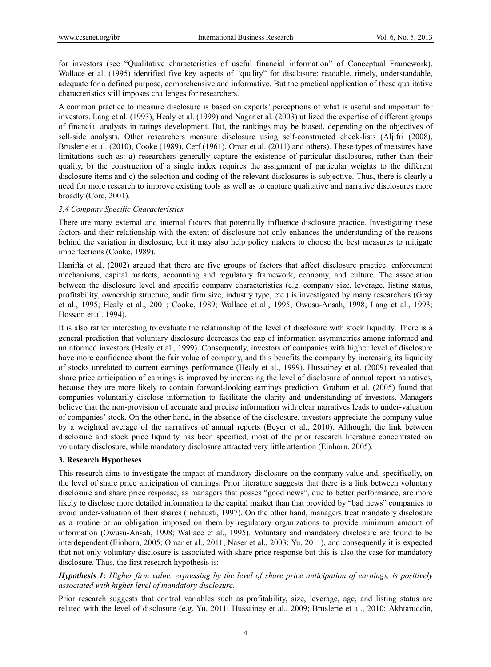for investors (see "Qualitative characteristics of useful financial information" of Conceptual Framework). Wallace et al. (1995) identified five key aspects of "quality" for disclosure: readable, timely, understandable, adequate for a defined purpose, comprehensive and informative. But the practical application of these qualitative characteristics still imposes challenges for researchers.

A common practice to measure disclosure is based on experts' perceptions of what is useful and important for investors. Lang et al. (1993), Healy et al. (1999) and Nagar et al. (2003) utilized the expertise of different groups of financial analysts in ratings development. But, the rankings may be biased, depending on the objectives of sell-side analysts. Other researchers measure disclosure using self-constructed check-lists (Aljifri (2008), Bruslerie et al. (2010), Cooke (1989), Cerf (1961), Omar et al. (2011) and others). These types of measures have limitations such as: a) researchers generally capture the existence of particular disclosures, rather than their quality, b) the construction of a single index requires the assignment of particular weights to the different disclosure items and c) the selection and coding of the relevant disclosures is subjective. Thus, there is clearly a need for more research to improve existing tools as well as to capture qualitative and narrative disclosures more broadly (Core, 2001).

# *2.4 Company Specific Characteristics*

There are many external and internal factors that potentially influence disclosure practice. Investigating these factors and their relationship with the extent of disclosure not only enhances the understanding of the reasons behind the variation in disclosure, but it may also help policy makers to choose the best measures to mitigate imperfections (Cooke, 1989).

Haniffa et al. (2002) argued that there are five groups of factors that affect disclosure practice: enforcement mechanisms, capital markets, accounting and regulatory framework, economy, and culture. The association between the disclosure level and specific company characteristics (e.g. company size, leverage, listing status, profitability, ownership structure, audit firm size, industry type, etc.) is investigated by many researchers (Gray et al., 1995; Healy et al., 2001; Cooke, 1989; Wallace et al., 1995; Owusu-Ansah, 1998; Lang et al., 1993; Hossain et al. 1994).

It is also rather interesting to evaluate the relationship of the level of disclosure with stock liquidity. There is a general prediction that voluntary disclosure decreases the gap of information asymmetries among informed and uninformed investors (Healy et al., 1999). Consequently, investors of companies with higher level of disclosure have more confidence about the fair value of company, and this benefits the company by increasing its liquidity of stocks unrelated to current earnings performance (Healy et al., 1999). Hussainey et al. (2009) revealed that share price anticipation of earnings is improved by increasing the level of disclosure of annual report narratives, because they are more likely to contain forward-looking earnings prediction. Graham et al. (2005) found that companies voluntarily disclose information to facilitate the clarity and understanding of investors. Managers believe that the non-provision of accurate and precise information with clear narratives leads to under-valuation of companies' stock. On the other hand, in the absence of the disclosure, investors appreciate the company value by a weighted average of the narratives of annual reports (Beyer et al., 2010). Although, the link between disclosure and stock price liquidity has been specified, most of the prior research literature concentrated on voluntary disclosure, while mandatory disclosure attracted very little attention (Einhorn, 2005).

# **3. Research Hypotheses**

This research aims to investigate the impact of mandatory disclosure on the company value and, specifically, on the level of share price anticipation of earnings. Prior literature suggests that there is a link between voluntary disclosure and share price response, as managers that posses "good news", due to better performance, are more likely to disclose more detailed information to the capital market than that provided by "bad news" companies to avoid under-valuation of their shares (Inchausti, 1997). On the other hand, managers treat mandatory disclosure as a routine or an obligation imposed on them by regulatory organizations to provide minimum amount of information (Owusu-Ansah, 1998; Wallace et al., 1995). Voluntary and mandatory disclosure are found to be interdependent (Einhorn, 2005; Omar et al., 2011; Naser et al., 2003; Yu, 2011), and consequently it is expected that not only voluntary disclosure is associated with share price response but this is also the case for mandatory disclosure. Thus, the first research hypothesis is:

*Hypothesis 1: Higher firm value, expressing by the level of share price anticipation of earnings, is positively associated with higher level of mandatory disclosure.* 

Prior research suggests that control variables such as profitability, size, leverage, age, and listing status are related with the level of disclosure (e.g. Yu, 2011; Hussainey et al., 2009; Bruslerie et al., 2010; Akhtaruddin,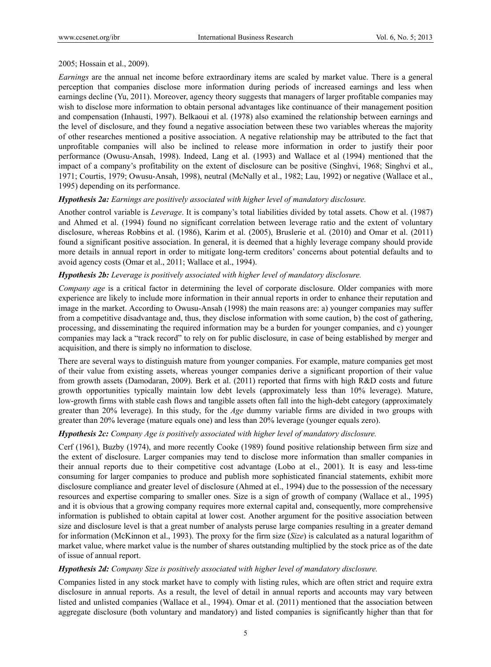# 2005; Hossain et al., 2009).

*Earnings* are the annual net income before extraordinary items are scaled by market value. There is a general perception that companies disclose more information during periods of increased earnings and less when earnings decline (Yu, 2011). Moreover, agency theory suggests that managers of larger profitable companies may wish to disclose more information to obtain personal advantages like continuance of their management position and compensation (Inhausti, 1997). Belkaoui et al. (1978) also examined the relationship between earnings and the level of disclosure, and they found a negative association between these two variables whereas the majority of other researches mentioned a positive association. A negative relationship may be attributed to the fact that unprofitable companies will also be inclined to release more information in order to justify their poor performance (Owusu-Ansah, 1998). Indeed, Lang et al. (1993) and Wallace et al (1994) mentioned that the impact of a company's profitability on the extent of disclosure can be positive (Singhvi, 1968; Singhvi et al., 1971; Courtis, 1979; Owusu-Ansah, 1998), neutral (McNally et al., 1982; Lau, 1992) or negative (Wallace et al., 1995) depending on its performance.

# *Hypothesis 2a: Earnings are positively associated with higher level of mandatory disclosure.*

Another control variable is *Leverage*. It is company's total liabilities divided by total assets. Chow et al. (1987) and Ahmed et al. (1994) found no significant correlation between leverage ratio and the extent of voluntary disclosure, whereas Robbins et al. (1986), Karim et al. (2005), Bruslerie et al. (2010) and Omar et al. (2011) found a significant positive association. In general, it is deemed that a highly leverage company should provide more details in annual report in order to mitigate long-term creditors' concerns about potential defaults and to avoid agency costs (Omar et al., 2011; Wallace et al., 1994).

# *Hypothesis 2b: Leverage is positively associated with higher level of mandatory disclosure.*

*Company age* is a critical factor in determining the level of corporate disclosure. Older companies with more experience are likely to include more information in their annual reports in order to enhance their reputation and image in the market. According to Owusu-Ansah (1998) the main reasons are: a) younger companies may suffer from a competitive disadvantage and, thus, they disclose information with some caution, b) the cost of gathering, processing, and disseminating the required information may be a burden for younger companies, and c) younger companies may lack a "track record" to rely on for public disclosure, in case of being established by merger and acquisition, and there is simply no information to disclose.

There are several ways to distinguish mature from younger companies. For example, mature companies get most of their value from existing assets, whereas younger companies derive a significant proportion of their value from growth assets (Damodaran, 2009). Berk et al. (2011) reported that firms with high R&D costs and future growth opportunities typically maintain low debt levels (approximately less than 10% leverage). Mature, low-growth firms with stable cash flows and tangible assets often fall into the high-debt category (approximately greater than 20% leverage). In this study, for the *Age* dummy variable firms are divided in two groups with greater than 20% leverage (mature equals one) and less than 20% leverage (younger equals zero).

# *Hypothesis 2c: Company Age is positively associated with higher level of mandatory disclosure.*

Cerf (1961), Buzby (1974), and more recently Cooke (1989) found positive relationship between firm size and the extent of disclosure. Larger companies may tend to disclose more information than smaller companies in their annual reports due to their competitive cost advantage (Lobo at el., 2001). It is easy and less-time consuming for larger companies to produce and publish more sophisticated financial statements, exhibit more disclosure compliance and greater level of disclosure (Ahmed at el., 1994) due to the possession of the necessary resources and expertise comparing to smaller ones. Size is a sign of growth of company (Wallace et al., 1995) and it is obvious that a growing company requires more external capital and, consequently, more comprehensive information is published to obtain capital at lower cost. Another argument for the positive association between size and disclosure level is that a great number of analysts peruse large companies resulting in a greater demand for information (McKinnon et al., 1993). The proxy for the firm size (*Size*) is calculated as a natural logarithm of market value, where market value is the number of shares outstanding multiplied by the stock price as of the date of issue of annual report.

# *Hypothesis 2d: Company Size is positively associated with higher level of mandatory disclosure.*

Companies listed in any stock market have to comply with listing rules, which are often strict and require extra disclosure in annual reports. As a result, the level of detail in annual reports and accounts may vary between listed and unlisted companies (Wallace et al., 1994). Omar et al. (2011) mentioned that the association between aggregate disclosure (both voluntary and mandatory) and listed companies is significantly higher than that for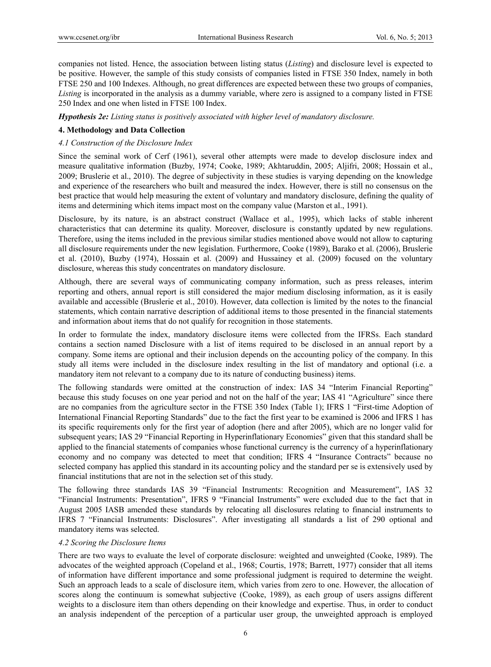companies not listed. Hence, the association between listing status (*Listing*) and disclosure level is expected to be positive. However, the sample of this study consists of companies listed in FTSE 350 Index, namely in both FTSE 250 and 100 Indexes. Although, no great differences are expected between these two groups of companies, *Listing* is incorporated in the analysis as a dummy variable, where zero is assigned to a company listed in FTSE 250 Index and one when listed in FTSE 100 Index.

*Hypothesis 2e: Listing status is positively associated with higher level of mandatory disclosure.* 

# **4. Methodology and Data Collection**

# *4.1 Construction of the Disclosure Index*

Since the seminal work of Cerf (1961), several other attempts were made to develop disclosure index and measure qualitative information (Buzby, 1974; Cooke, 1989; Akhtaruddin, 2005; Aljifri, 2008; Hossain et al., 2009; Bruslerie et al., 2010). The degree of subjectivity in these studies is varying depending on the knowledge and experience of the researchers who built and measured the index. However, there is still no consensus on the best practice that would help measuring the extent of voluntary and mandatory disclosure, defining the quality of items and determining which items impact most on the company value (Marston et al., 1991).

Disclosure, by its nature, is an abstract construct (Wallace et al., 1995), which lacks of stable inherent characteristics that can determine its quality. Moreover, disclosure is constantly updated by new regulations. Therefore, using the items included in the previous similar studies mentioned above would not allow to capturing all disclosure requirements under the new legislation. Furthermore, Cooke (1989), Barako et al. (2006), Bruslerie et al. (2010), Buzby (1974), Hossain et al. (2009) and Hussainey et al. (2009) focused on the voluntary disclosure, whereas this study concentrates on mandatory disclosure.

Although, there are several ways of communicating company information, such as press releases, interim reporting and others, annual report is still considered the major medium disclosing information, as it is easily available and accessible (Bruslerie et al., 2010). However, data collection is limited by the notes to the financial statements, which contain narrative description of additional items to those presented in the financial statements and information about items that do not qualify for recognition in those statements.

In order to formulate the index, mandatory disclosure items were collected from the IFRSs. Each standard contains a section named Disclosure with a list of items required to be disclosed in an annual report by a company. Some items are optional and their inclusion depends on the accounting policy of the company. In this study all items were included in the disclosure index resulting in the list of mandatory and optional (i.e. a mandatory item not relevant to a company due to its nature of conducting business) items.

The following standards were omitted at the construction of index: IAS 34 "Interim Financial Reporting" because this study focuses on one year period and not on the half of the year; IAS 41 "Agriculture" since there are no companies from the agriculture sector in the FTSE 350 Index (Table 1); IFRS 1 "First-time Adoption of International Financial Reporting Standards" due to the fact the first year to be examined is 2006 and IFRS 1 has its specific requirements only for the first year of adoption (here and after 2005), which are no longer valid for subsequent years; IAS 29 "Financial Reporting in Hyperinflationary Economies" given that this standard shall be applied to the financial statements of companies whose functional currency is the currency of a hyperinflationary economy and no company was detected to meet that condition; IFRS 4 "Insurance Contracts" because no selected company has applied this standard in its accounting policy and the standard per se is extensively used by financial institutions that are not in the selection set of this study.

The following three standards IAS 39 "Financial Instruments: Recognition and Measurement", IAS 32 "Financial Instruments: Presentation", IFRS 9 "Financial Instruments" were excluded due to the fact that in August 2005 IASB amended these standards by relocating all disclosures relating to financial instruments to IFRS 7 "Financial Instruments: Disclosures". After investigating all standards a list of 290 optional and mandatory items was selected.

## *4.2 Scoring the Disclosure Items*

There are two ways to evaluate the level of corporate disclosure: weighted and unweighted (Cooke, 1989). The advocates of the weighted approach (Copeland et al., 1968; Courtis, 1978; Barrett, 1977) consider that all items of information have different importance and some professional judgment is required to determine the weight. Such an approach leads to a scale of disclosure item, which varies from zero to one. However, the allocation of scores along the continuum is somewhat subjective (Cooke, 1989), as each group of users assigns different weights to a disclosure item than others depending on their knowledge and expertise. Thus, in order to conduct an analysis independent of the perception of a particular user group, the unweighted approach is employed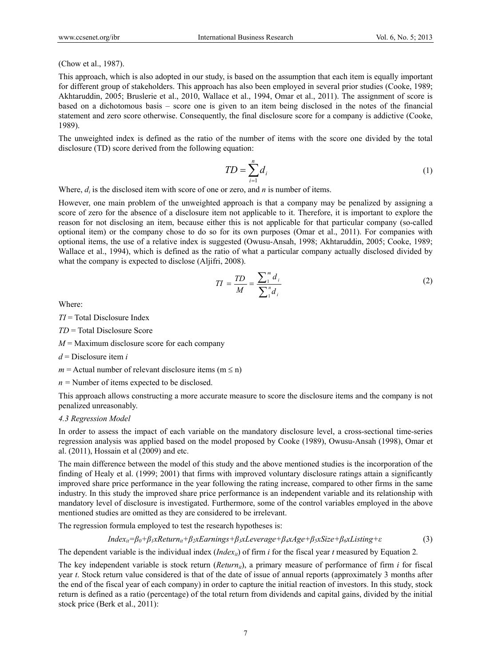#### (Chow et al., 1987).

This approach, which is also adopted in our study, is based on the assumption that each item is equally important for different group of stakeholders. This approach has also been employed in several prior studies (Cooke, 1989; Akhtaruddin, 2005; Bruslerie et al., 2010, Wallace et al., 1994, Omar et al., 2011). The assignment of score is based on a dichotomous basis – score one is given to an item being disclosed in the notes of the financial statement and zero score otherwise. Consequently, the final disclosure score for a company is addictive (Cooke, 1989).

The unweighted index is defined as the ratio of the number of items with the score one divided by the total disclosure (TD) score derived from the following equation:

$$
TD = \sum_{i=1}^{n} d_i \tag{1}
$$

Where,  $d_i$  is the disclosed item with score of one or zero, and *n* is number of items.

However, one main problem of the unweighted approach is that a company may be penalized by assigning a score of zero for the absence of a disclosure item not applicable to it. Therefore, it is important to explore the reason for not disclosing an item, because either this is not applicable for that particular company (so-called optional item) or the company chose to do so for its own purposes (Omar et al., 2011). For companies with optional items, the use of a relative index is suggested (Owusu-Ansah, 1998; Akhtaruddin, 2005; Cooke, 1989; Wallace et al., 1994), which is defined as the ratio of what a particular company actually disclosed divided by what the company is expected to disclose (Aljifri, 2008).

$$
TI = \frac{TD}{M} = \frac{\sum_{i=1}^{m} d_i}{\sum_{i=1}^{n} d_i}
$$
 (2)

Where:

- *TI* = Total Disclosure Index
- *TD* = Total Disclosure Score
- $M =$  Maximum disclosure score for each company
- *d* = Disclosure item *i*
- $m =$  Actual number of relevant disclosure items ( $m \le n$ )
- *n =* Number of items expected to be disclosed.

This approach allows constructing a more accurate measure to score the disclosure items and the company is not penalized unreasonably.

### *4.3 Regression Model*

In order to assess the impact of each variable on the mandatory disclosure level, a cross-sectional time-series regression analysis was applied based on the model proposed by Cooke (1989), Owusu-Ansah (1998), Omar et al. (2011), Hossain et al (2009) and etc.

The main difference between the model of this study and the above mentioned studies is the incorporation of the finding of Healy et al. (1999; 2001) that firms with improved voluntary disclosure ratings attain a significantly improved share price performance in the year following the rating increase, compared to other firms in the same industry. In this study the improved share price performance is an independent variable and its relationship with mandatory level of disclosure is investigated. Furthermore, some of the control variables employed in the above mentioned studies are omitted as they are considered to be irrelevant.

The regression formula employed to test the research hypotheses is:

$$
Index_{it} = \beta_0 + \beta_1 xReturn_{it} + \beta_2 xEarnings + \beta_3 xLeverage + \beta_4 xAge + \beta_5 xSize + \beta_6 xListing + \varepsilon
$$
 (3)

The dependent variable is the individual index (*Index<sub>ii</sub>*) of firm *i* for the fiscal year *t* measured by Equation 2.

The key independent variable is stock return  $(Return<sub>i</sub>)$ , a primary measure of performance of firm *i* for fiscal year *t*. Stock return value considered is that of the date of issue of annual reports (approximately 3 months after the end of the fiscal year of each company) in order to capture the initial reaction of investors. In this study, stock return is defined as a ratio (percentage) of the total return from dividends and capital gains, divided by the initial stock price (Berk et al., 2011):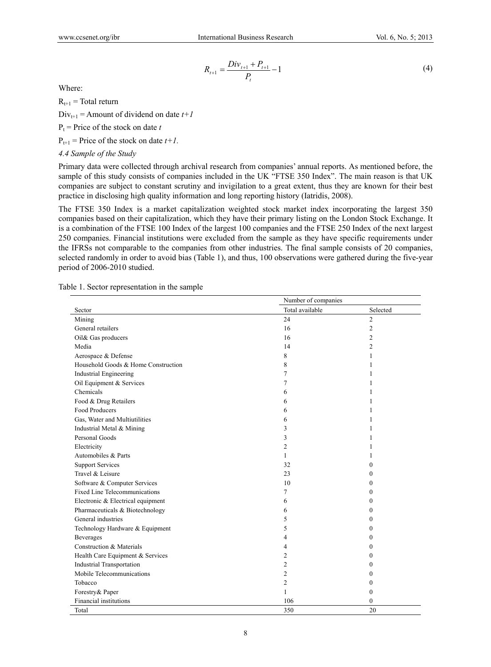$$
R_{t+1} = \frac{Div_{t+1} + P_{t+1}}{P_t} - 1
$$
\n<sup>(4)</sup>

Where:

 $R_{t+1}$  = Total return

 $Div_{t+1}$  = Amount of dividend on date  $t+1$ 

 $P_t$  = Price of the stock on date *t* 

 $P_{t+1}$  = Price of the stock on date  $t+1$ .

*4.4 Sample of the Study* 

Primary data were collected through archival research from companies' annual reports. As mentioned before, the sample of this study consists of companies included in the UK "FTSE 350 Index". The main reason is that UK companies are subject to constant scrutiny and invigilation to a great extent, thus they are known for their best practice in disclosing high quality information and long reporting history (Iatridis, 2008).

The FTSE 350 Index is a market capitalization weighted stock market index incorporating the largest 350 companies based on their capitalization, which they have their primary listing on the London Stock Exchange. It is a combination of the FTSE 100 Index of the largest 100 companies and the FTSE 250 Index of the next largest 250 companies. Financial institutions were excluded from the sample as they have specific requirements under the IFRSs not comparable to the companies from other industries. The final sample consists of 20 companies, selected randomly in order to avoid bias (Table 1), and thus, 100 observations were gathered during the five-year period of 2006-2010 studied.

|  |  |  |  | Table 1. Sector representation in the sample |  |  |  |
|--|--|--|--|----------------------------------------------|--|--|--|
|--|--|--|--|----------------------------------------------|--|--|--|

|                                     | Number of companies |                  |  |
|-------------------------------------|---------------------|------------------|--|
| Sector                              | Total available     | Selected         |  |
| Mining                              | 24                  | $\overline{2}$   |  |
| General retailers                   | 16                  | $\overline{c}$   |  |
| Oil& Gas producers                  | 16                  | 2                |  |
| Media                               | 14                  | 2                |  |
| Aerospace & Defense                 | 8                   | 1                |  |
| Household Goods & Home Construction | 8                   | 1                |  |
| <b>Industrial Engineering</b>       | 7                   | 1                |  |
| Oil Equipment & Services            | 7                   | 1                |  |
| Chemicals                           | 6                   | 1                |  |
| Food & Drug Retailers               | 6                   | 1                |  |
| Food Producers                      | 6                   | 1                |  |
| Gas, Water and Multiutilities       | 6                   | 1                |  |
| Industrial Metal & Mining           | 3                   | 1                |  |
| Personal Goods                      | 3                   | 1                |  |
| Electricity                         | 2                   | 1                |  |
| Automobiles & Parts                 | 1                   | 1                |  |
| <b>Support Services</b>             | 32                  | $\theta$         |  |
| Travel & Leisure                    | 23                  | $\mathbf{0}$     |  |
| Software & Computer Services        | 10                  | $\mathbf{0}$     |  |
| Fixed Line Telecommunications       | 7                   | $\mathbf{0}$     |  |
| Electronic & Electrical equipment   | 6                   | $\bf{0}$         |  |
| Pharmaceuticals & Biotechnology     | 6                   | $\Omega$         |  |
| General industries                  | 5                   | 0                |  |
| Technology Hardware & Equipment     | 5                   | $\boldsymbol{0}$ |  |
| Beverages                           | 4                   | $\boldsymbol{0}$ |  |
| Construction & Materials            | 4                   | $\boldsymbol{0}$ |  |
| Health Care Equipment & Services    | 2                   | $\boldsymbol{0}$ |  |
| <b>Industrial Transportation</b>    | 2                   | 0                |  |
| Mobile Telecommunications           | $\overline{2}$      | $\theta$         |  |
| Tobacco                             | $\overline{2}$      | $\mathbf{0}$     |  |
| Forestry& Paper                     | 1                   | $\theta$         |  |
| Financial institutions              | 106                 | $\theta$         |  |
| Total                               | 350                 | 20               |  |

8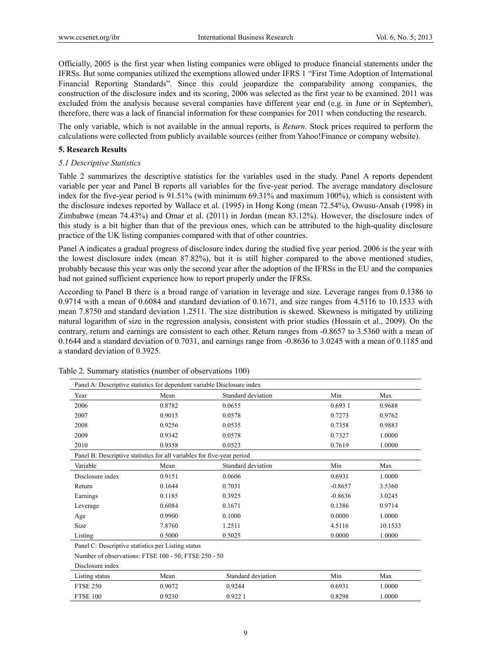Officially, 2005 is the first year when listing companies were obliged to produce financial statements under the IFRSs. But some companies utilized the exemptions allowed under IFRS 1 "First Time Adoption of International Financial Reporting Standards". Since this could jeopardize the comparability among companies, the construction of the disclosure index and its scoring, 2006 was selected as the first year to be examined. 2011 was excluded from the analysis because several companies have different year end (e.g. in June or in September), therefore, there was a lack of financial information for these companies for 2011 when conducting the research.

The only variable, which is not available in the annual reports, is *Return*. Stock prices required to perform the calculations were collected from publicly available sources (either from Yahoo!Finance or company website).

#### **5. Research Results**

#### *5.1 Descriptive Statistics*

Table 2 summarizes the descriptive statistics for the variables used in the study. Panel A reports dependent variable per year and Panel B reports all variables for the five-year period. The average mandatory disclosure index for the five-year period is 91.51% (with minimum 69.31% and maximum 100%), which is consistent with the disclosure indexes reported by Wallace et al. (1995) in Hong Kong (mean 72.54%), Owusu-Ansah (1998) in Zimbabwe (mean 74.43%) and Omar et al. (2011) in Jordan (mean 83.12%). However, the disclosure index of this study is a bit higher than that of the previous ones, which can be attributed to the high-quality disclosure practice of the UK listing companies compared with that of other countries.

Panel A indicates a gradual progress of disclosure index during the studied five year period. 2006 is the year with the lowest disclosure index (mean 87.82%), but it is still higher compared to the above mentioned studies, probably because this year was only the second year after the adoption of the IFRSs in the EU and the companies had not gained sufficient experience how to report properly under the IFRSs.

According to Panel B there is a broad range of variation in leverage and size. Leverage ranges from 0.1386 to 0.9714 with a mean of 0.6084 and standard deviation of 0.1671, and size ranges from 4.5116 to 10.1533 with mean 7.8750 and standard deviation 1.2511. The size distribution is skewed. Skewness is mitigated by utilizing natural logarithm of size in the regression analysis, consistent with prior studies (Hossain et al., 2009). On the contrary, return and earnings are consistent to each other. Return ranges from -0.8657 to 3.5360 with a mean of 0.1644 and a standard deviation of 0.7031, and earnings range from -0.8636 to 3.0245 with a mean of 0.1185 and a standard deviation of 0.3925.

| Panel A: Descriptive statistics for dependent variable Disclosure index |        |                    |           |         |  |  |
|-------------------------------------------------------------------------|--------|--------------------|-----------|---------|--|--|
| Year                                                                    | Mean   | Standard deviation | Min       | Max     |  |  |
| 2006                                                                    | 0.8782 | 0.0655             | 0.6931    | 0.9688  |  |  |
| 2007                                                                    | 0.9015 | 0.0578             | 0.7273    | 0.9762  |  |  |
| 2008                                                                    | 0.9256 | 0.0535             | 0.7358    | 0.9883  |  |  |
| 2009                                                                    | 0.9342 | 0.0578             | 0.7327    | 1.0000  |  |  |
| 2010                                                                    | 0.9358 | 0.0523             | 0.7619    | 1.0000  |  |  |
| Panel B: Descriptive statistics for all variables for five-year period  |        |                    |           |         |  |  |
| Variable                                                                | Mean   | Standard deviation | Min       | Max     |  |  |
| Disclosure index                                                        | 0.9151 | 0.0606             | 0.6931    | 1.0000  |  |  |
| Return                                                                  | 0.1644 | 0.7031             | $-0.8657$ | 3.5360  |  |  |
| Earnings                                                                | 0.1185 | 0.3925             | $-0.8636$ | 3.0245  |  |  |
| Leverage                                                                | 0.6084 | 0.1671             | 0.1386    | 0.9714  |  |  |
| Age                                                                     | 0.9900 | 0.1000             | 0.0000    | 1.0000  |  |  |
| Size                                                                    | 7.8760 | 1.2511             | 4.5116    | 10.1533 |  |  |
| Listing                                                                 | 0.5000 | 0.5025             | 0.0000    | 1.0000  |  |  |

Table 2. Summary statistics (number of observations 100)

Panel C: Descriptive statistics per Listing status

Number of observations: FTSE 100 - 50; FTSE 250 - 50

Disclosure index

| Listing status  | Mean   | Standard deviation | Min    | Max   |
|-----------------|--------|--------------------|--------|-------|
| <b>FTSE 250</b> | 0.9072 | 0.9244             | 0.6931 | .0000 |
| FTSE 100        | 0.9230 | 0.922              | 0.8298 | .0000 |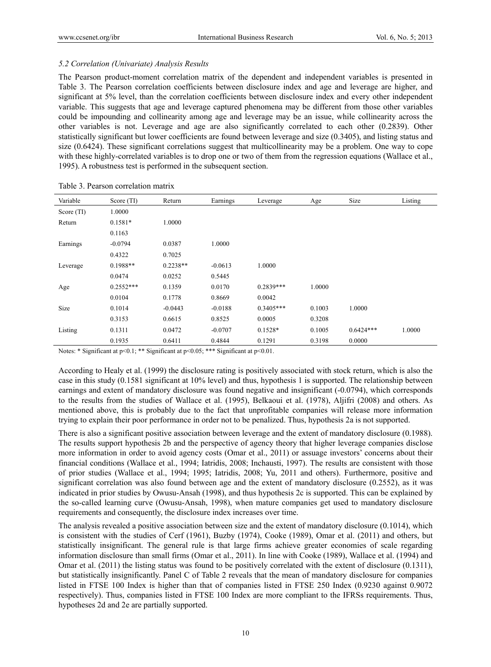# *5.2 Correlation (Univariate) Analysis Results*

The Pearson product-moment correlation matrix of the dependent and independent variables is presented in Table 3. The Pearson correlation coefficients between disclosure index and age and leverage are higher, and significant at 5% level, than the correlation coefficients between disclosure index and every other independent variable. This suggests that age and leverage captured phenomena may be different from those other variables could be impounding and collinearity among age and leverage may be an issue, while collinearity across the other variables is not. Leverage and age are also significantly correlated to each other (0.2839). Other statistically significant but lower coefficients are found between leverage and size (0.3405), and listing status and size (0.6424). These significant correlations suggest that multicollinearity may be a problem. One way to cope with these highly-correlated variables is to drop one or two of them from the regression equations (Wallace et al., 1995). A robustness test is performed in the subsequent section.

| Variable   | Score (TI)  | Return     | Earnings  | Leverage    | Age    | Size        | Listing |
|------------|-------------|------------|-----------|-------------|--------|-------------|---------|
| Score (TI) | 1.0000      |            |           |             |        |             |         |
| Return     | $0.1581*$   | 1.0000     |           |             |        |             |         |
|            | 0.1163      |            |           |             |        |             |         |
| Earnings   | $-0.0794$   | 0.0387     | 1.0000    |             |        |             |         |
|            | 0.4322      | 0.7025     |           |             |        |             |         |
| Leverage   | $0.1988**$  | $0.2238**$ | $-0.0613$ | 1.0000      |        |             |         |
|            | 0.0474      | 0.0252     | 0.5445    |             |        |             |         |
| Age        | $0.2552***$ | 0.1359     | 0.0170    | $0.2839***$ | 1.0000 |             |         |
|            | 0.0104      | 0.1778     | 0.8669    | 0.0042      |        |             |         |
| Size       | 0.1014      | $-0.0443$  | $-0.0188$ | $0.3405***$ | 0.1003 | 1.0000      |         |
|            | 0.3153      | 0.6615     | 0.8525    | 0.0005      | 0.3208 |             |         |
| Listing    | 0.1311      | 0.0472     | $-0.0707$ | $0.1528*$   | 0.1005 | $0.6424***$ | 1.0000  |
|            | 0.1935      | 0.6411     | 0.4844    | 0.1291      | 0.3198 | 0.0000      |         |

Table 3. Pearson correlation matrix

Notes: \* Significant at p<0.1; \*\* Significant at p<0.05; \*\*\* Significant at p<0.01.

According to Healy et al. (1999) the disclosure rating is positively associated with stock return, which is also the case in this study (0.1581 significant at 10% level) and thus, hypothesis 1 is supported. The relationship between earnings and extent of mandatory disclosure was found negative and insignificant (-0.0794), which corresponds to the results from the studies of Wallace et al. (1995), Belkaoui et al. (1978), Aljifri (2008) and others. As mentioned above, this is probably due to the fact that unprofitable companies will release more information trying to explain their poor performance in order not to be penalized. Thus, hypothesis 2a is not supported.

There is also a significant positive association between leverage and the extent of mandatory disclosure (0.1988). The results support hypothesis 2b and the perspective of agency theory that higher leverage companies disclose more information in order to avoid agency costs (Omar et al., 2011) or assuage investors' concerns about their financial conditions (Wallace et al., 1994; Iatridis, 2008; Inchausti, 1997). The results are consistent with those of prior studies (Wallace et al., 1994; 1995; Iatridis, 2008; Yu, 2011 and others). Furthermore, positive and significant correlation was also found between age and the extent of mandatory disclosure (0.2552), as it was indicated in prior studies by Owusu-Ansah (1998), and thus hypothesis 2c is supported. This can be explained by the so-called learning curve (Owusu-Ansah, 1998), when mature companies get used to mandatory disclosure requirements and consequently, the disclosure index increases over time.

The analysis revealed a positive association between size and the extent of mandatory disclosure (0.1014), which is consistent with the studies of Cerf (1961), Buzby (1974), Cooke (1989), Omar et al. (2011) and others, but statistically insignificant. The general rule is that large firms achieve greater economies of scale regarding information disclosure than small firms (Omar et al., 2011). In line with Cooke (1989), Wallace et al. (1994) and Omar et al. (2011) the listing status was found to be positively correlated with the extent of disclosure (0.1311), but statistically insignificantly. Panel C of Table 2 reveals that the mean of mandatory disclosure for companies listed in FTSE 100 Index is higher than that of companies listed in FTSE 250 Index (0.9230 against 0.9072 respectively). Thus, companies listed in FTSE 100 Index are more compliant to the IFRSs requirements. Thus, hypotheses 2d and 2e are partially supported.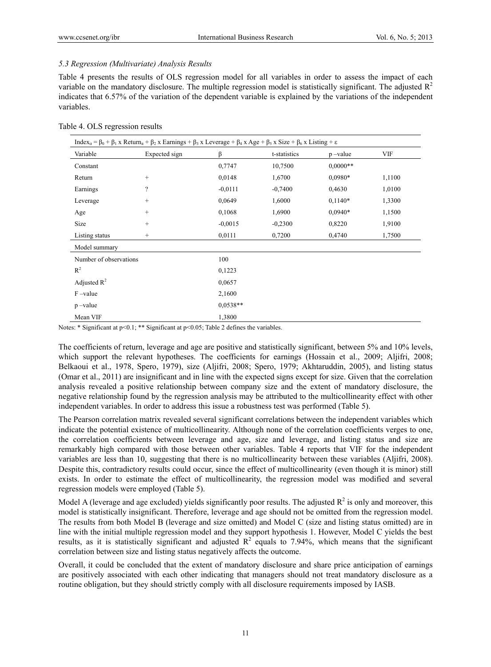# *5.3 Regression (Multivariate) Analysis Results*

Table 4 presents the results of OLS regression model for all variables in order to assess the impact of each variable on the mandatory disclosure. The multiple regression model is statistically significant. The adjusted  $R<sup>2</sup>$ indicates that 6.57% of the variation of the dependent variable is explained by the variations of the independent variables.

| Table 4. OLS regression results |  |  |  |  |
|---------------------------------|--|--|--|--|
|---------------------------------|--|--|--|--|

|                        | Index <sub>it</sub> = $\beta_0$ + $\beta_1$ x Return <sub>it</sub> + $\beta_2$ x Earnings + $\beta_3$ x Leverage + $\beta_4$ x Age + $\beta_5$ x Size + $\beta_6$ x Listing + $\varepsilon$ |            |              |            |        |
|------------------------|---------------------------------------------------------------------------------------------------------------------------------------------------------------------------------------------|------------|--------------|------------|--------|
| Variable               | Expected sign                                                                                                                                                                               | β          | t-statistics | $p$ -value | VIF    |
| Constant               |                                                                                                                                                                                             | 0,7747     | 10,7500      | $0.0000**$ |        |
| Return                 | $\qquad \qquad +$                                                                                                                                                                           | 0,0148     | 1,6700       | 0,0980*    | 1,1100 |
| Earnings               | ?                                                                                                                                                                                           | $-0,0111$  | $-0,7400$    | 0,4630     | 1,0100 |
| Leverage               | $\! + \!\!\!\!$                                                                                                                                                                             | 0,0649     | 1,6000       | $0,1140*$  | 1,3300 |
| Age                    | $\qquad \qquad +$                                                                                                                                                                           | 0,1068     | 1,6900       | $0.0940*$  | 1,1500 |
| Size                   | $^{+}$                                                                                                                                                                                      | $-0,0015$  | $-0,2300$    | 0,8220     | 1,9100 |
| Listing status         | $^{+}$                                                                                                                                                                                      | 0,0111     | 0,7200       | 0,4740     | 1,7500 |
| Model summary          |                                                                                                                                                                                             |            |              |            |        |
| Number of observations |                                                                                                                                                                                             | 100        |              |            |        |
| $R^2$                  |                                                                                                                                                                                             | 0,1223     |              |            |        |
| Adjusted $R^2$         |                                                                                                                                                                                             | 0,0657     |              |            |        |
| $F$ -value             |                                                                                                                                                                                             | 2,1600     |              |            |        |
| $p$ –value             |                                                                                                                                                                                             | $0.0538**$ |              |            |        |
| Mean VIF               |                                                                                                                                                                                             | 1,3800     |              |            |        |

Notes: \* Significant at p<0.1; \*\* Significant at p<0.05; Table 2 defines the variables.

The coefficients of return, leverage and age are positive and statistically significant, between 5% and 10% levels, which support the relevant hypotheses. The coefficients for earnings (Hossain et al., 2009; Aljifri, 2008; Belkaoui et al., 1978, Spero, 1979), size (Aljifri, 2008; Spero, 1979; Akhtaruddin, 2005), and listing status (Omar et al., 2011) are insignificant and in line with the expected signs except for size. Given that the correlation analysis revealed a positive relationship between company size and the extent of mandatory disclosure, the negative relationship found by the regression analysis may be attributed to the multicollinearity effect with other independent variables. In order to address this issue a robustness test was performed (Table 5).

The Pearson correlation matrix revealed several significant correlations between the independent variables which indicate the potential existence of multicollinearity. Although none of the correlation coefficients verges to one, the correlation coefficients between leverage and age, size and leverage, and listing status and size are remarkably high compared with those between other variables. Table 4 reports that VIF for the independent variables are less than 10, suggesting that there is no multicollinearity between these variables (Aljifri, 2008). Despite this, contradictory results could occur, since the effect of multicollinearity (even though it is minor) still exists. In order to estimate the effect of multicollinearity, the regression model was modified and several regression models were employed (Table 5).

Model A (leverage and age excluded) yields significantly poor results. The adjusted  $R^2$  is only and moreover, this model is statistically insignificant. Therefore, leverage and age should not be omitted from the regression model. The results from both Model B (leverage and size omitted) and Model C (size and listing status omitted) are in line with the initial multiple regression model and they support hypothesis 1. However, Model C yields the best results, as it is statistically significant and adjusted  $R^2$  equals to 7.94%, which means that the significant correlation between size and listing status negatively affects the outcome.

Overall, it could be concluded that the extent of mandatory disclosure and share price anticipation of earnings are positively associated with each other indicating that managers should not treat mandatory disclosure as a routine obligation, but they should strictly comply with all disclosure requirements imposed by IASB.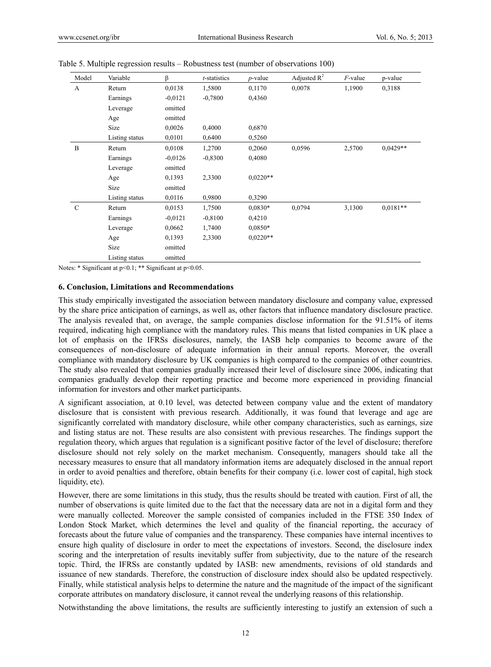| Model         | Variable       | β         | t-statistics | $p$ -value | Adjusted $\mathbb{R}^2$ | $F$ -value | p-value    |
|---------------|----------------|-----------|--------------|------------|-------------------------|------------|------------|
| A             | Return         | 0.0138    | 1,5800       | 0,1170     | 0,0078                  | 1,1900     | 0,3188     |
|               | Earnings       | $-0,0121$ | $-0,7800$    | 0,4360     |                         |            |            |
|               | Leverage       | omitted   |              |            |                         |            |            |
|               | Age            | omitted   |              |            |                         |            |            |
|               | Size           | 0,0026    | 0,4000       | 0,6870     |                         |            |            |
|               | Listing status | 0,0101    | 0,6400       | 0,5260     |                         |            |            |
| B             | Return         | 0,0108    | 1,2700       | 0,2060     | 0,0596                  | 2,5700     | $0.0429**$ |
|               | Earnings       | $-0.0126$ | $-0.8300$    | 0,4080     |                         |            |            |
|               | Leverage       | omitted   |              |            |                         |            |            |
|               | Age            | 0,1393    | 2,3300       | $0.0220**$ |                         |            |            |
|               | Size           | omitted   |              |            |                         |            |            |
|               | Listing status | 0,0116    | 0,9800       | 0,3290     |                         |            |            |
| $\mathcal{C}$ | Return         | 0,0153    | 1,7500       | $0.0830*$  | 0,0794                  | 3,1300     | $0,0181**$ |
|               | Earnings       | $-0,0121$ | $-0,8100$    | 0,4210     |                         |            |            |
|               | Leverage       | 0,0662    | 1,7400       | $0.0850*$  |                         |            |            |
|               | Age            | 0,1393    | 2,3300       | $0.0220**$ |                         |            |            |
|               | Size           | omitted   |              |            |                         |            |            |
|               | Listing status | omitted   |              |            |                         |            |            |

|  | Table 5. Multiple regression results – Robustness test (number of observations 100) |  |  |
|--|-------------------------------------------------------------------------------------|--|--|
|  |                                                                                     |  |  |

Notes: \* Significant at p<0.1; \*\* Significant at p<0.05.

#### **6. Conclusion, Limitations and Recommendations**

This study empirically investigated the association between mandatory disclosure and company value, expressed by the share price anticipation of earnings, as well as, other factors that influence mandatory disclosure practice. The analysis revealed that, on average, the sample companies disclose information for the 91.51% of items required, indicating high compliance with the mandatory rules. This means that listed companies in UK place a lot of emphasis on the IFRSs disclosures, namely, the IASB help companies to become aware of the consequences of non-disclosure of adequate information in their annual reports. Moreover, the overall compliance with mandatory disclosure by UK companies is high compared to the companies of other countries. The study also revealed that companies gradually increased their level of disclosure since 2006, indicating that companies gradually develop their reporting practice and become more experienced in providing financial information for investors and other market participants.

A significant association, at 0.10 level, was detected between company value and the extent of mandatory disclosure that is consistent with previous research. Additionally, it was found that leverage and age are significantly correlated with mandatory disclosure, while other company characteristics, such as earnings, size and listing status are not. These results are also consistent with previous researches. The findings support the regulation theory, which argues that regulation is a significant positive factor of the level of disclosure; therefore disclosure should not rely solely on the market mechanism. Consequently, managers should take all the necessary measures to ensure that all mandatory information items are adequately disclosed in the annual report in order to avoid penalties and therefore, obtain benefits for their company (i.e. lower cost of capital, high stock liquidity, etc).

However, there are some limitations in this study, thus the results should be treated with caution. First of all, the number of observations is quite limited due to the fact that the necessary data are not in a digital form and they were manually collected. Moreover the sample consisted of companies included in the FTSE 350 Index of London Stock Market, which determines the level and quality of the financial reporting, the accuracy of forecasts about the future value of companies and the transparency. These companies have internal incentives to ensure high quality of disclosure in order to meet the expectations of investors. Second, the disclosure index scoring and the interpretation of results inevitably suffer from subjectivity, due to the nature of the research topic. Third, the IFRSs are constantly updated by IASB: new amendments, revisions of old standards and issuance of new standards. Therefore, the construction of disclosure index should also be updated respectively. Finally, while statistical analysis helps to determine the nature and the magnitude of the impact of the significant corporate attributes on mandatory disclosure, it cannot reveal the underlying reasons of this relationship.

Notwithstanding the above limitations, the results are sufficiently interesting to justify an extension of such a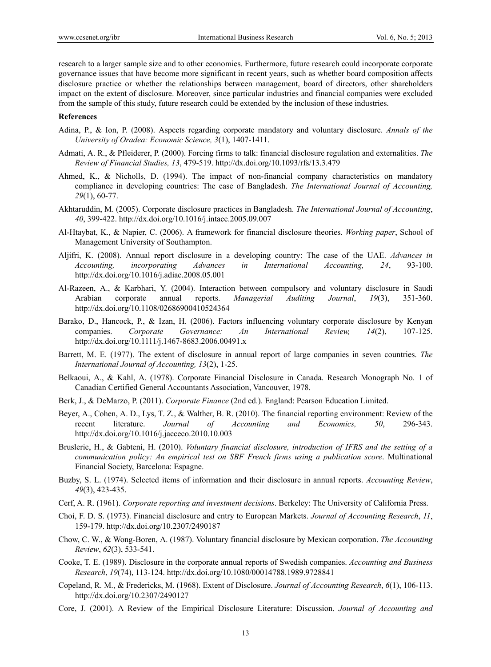research to a larger sample size and to other economies. Furthermore, future research could incorporate corporate governance issues that have become more significant in recent years, such as whether board composition affects disclosure practice or whether the relationships between management, board of directors, other shareholders impact on the extent of disclosure. Moreover, since particular industries and financial companies were excluded from the sample of this study, future research could be extended by the inclusion of these industries.

### **References**

- Adina, P., & Ion, P. (2008). Aspects regarding corporate mandatory and voluntary disclosure. *Annals of the University of Oradea: Economic Science, 3*(1), 1407-1411.
- Admati, A. R., & Pfleiderer, P. (2000). Forcing firms to talk: financial disclosure regulation and externalities. *The Review of Financial Studies, 13*, 479-519. http://dx.doi.org/10.1093/rfs/13.3.479
- Ahmed, K., & Nicholls, D. (1994). The impact of non-financial company characteristics on mandatory compliance in developing countries: The case of Bangladesh. *The International Journal of Accounting, 29*(1), 60-77.
- Akhtaruddin, M. (2005). Corporate disclosure practices in Bangladesh. *The International Journal of Accounting*, *40*, 399-422. http://dx.doi.org/10.1016/j.intacc.2005.09.007
- Al-Htaybat, K., & Napier, C. (2006). A framework for financial disclosure theories. *Working paper*, School of Management University of Southampton.
- Aljifri, K. (2008). Annual report disclosure in a developing country: The case of the UAE. *Advances in Accounting, incorporating Advances in International Accounting, 24*, 93-100. http://dx.doi.org/10.1016/j.adiac.2008.05.001
- Al-Razeen, A., & Karbhari, Y. (2004). Interaction between compulsory and voluntary disclosure in Saudi Arabian corporate annual reports. *Managerial Auditing Journal*, *19*(3), 351-360. http://dx.doi.org/10.1108/02686900410524364
- Barako, D., Hancock, P., & Izan, H. (2006). Factors influencing voluntary corporate disclosure by Kenyan companies. *Corporate Governance: An International Review, 14*(2), 107-125. http://dx.doi.org/10.1111/j.1467-8683.2006.00491.x
- Barrett, M. E. (1977). The extent of disclosure in annual report of large companies in seven countries. *The International Journal of Accounting, 13*(2), 1-25.
- Belkaoui, A., & Kahl, A. (1978). Corporate Financial Disclosure in Canada. Research Monograph No. 1 of Canadian Certified General Accountants Association, Vancouver, 1978.
- Berk, J., & DeMarzo, P. (2011). *Corporate Finance* (2nd ed.). England: Pearson Education Limited.
- Beyer, A., Cohen, A. D., Lys, T. Z., & Walther, B. R. (2010). The financial reporting environment: Review of the recent literature. *Journal of Accounting and Economics, 50*, 296-343. http://dx.doi.org/10.1016/j.jacceco.2010.10.003
- Bruslerie, H., & Gabteni, H. (2010). *Voluntary financial disclosure, introduction of IFRS and the setting of a communication policy: An empirical test on SBF French firms using a publication score*. Multinational Financial Society, Barcelona: Espagne.
- Buzby, S. L. (1974). Selected items of information and their disclosure in annual reports. *Accounting Review*, *49*(3), 423-435.
- Cerf, A. R. (1961). *Corporate reporting and investment decisions*. Berkeley: The University of California Press.
- Choi, F. D. S. (1973). Financial disclosure and entry to European Markets. *Journal of Accounting Research*, *11*, 159-179. http://dx.doi.org/10.2307/2490187
- Chow, C. W., & Wong-Boren, A. (1987). Voluntary financial disclosure by Mexican corporation. *The Accounting Review*, *62*(3), 533-541.
- Cooke, T. E. (1989). Disclosure in the corporate annual reports of Swedish companies. *Accounting and Business Research*, *19*(74), 113-124. http://dx.doi.org/10.1080/00014788.1989.9728841
- Copeland, R. M., & Fredericks, M. (1968). Extent of Disclosure. *Journal of Accounting Research*, *6*(1), 106-113. http://dx.doi.org/10.2307/2490127
- Core, J. (2001). A Review of the Empirical Disclosure Literature: Discussion. *Journal of Accounting and*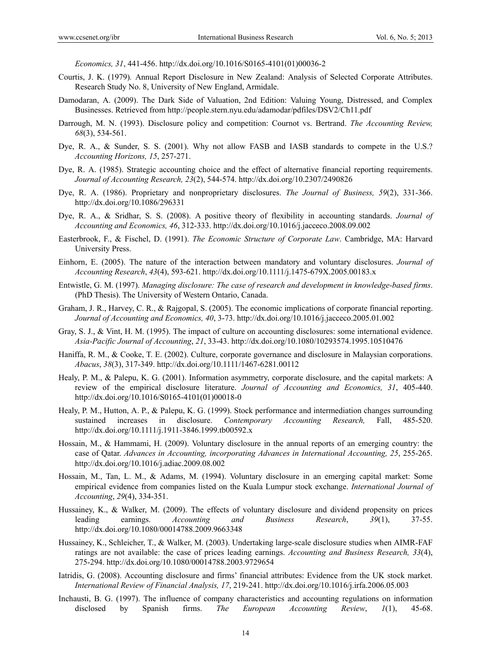*Economics, 31*, 441-456. http://dx.doi.org/10.1016/S0165-4101(01)00036-2

- Courtis, J. K. (1979)*.* Annual Report Disclosure in New Zealand: Analysis of Selected Corporate Attributes. Research Study No. 8, University of New England, Armidale.
- Damodaran, A. (2009). The Dark Side of Valuation, 2nd Edition: Valuing Young, Distressed, and Complex Businesses. Retrieved from http://people.stern.nyu.edu/adamodar/pdfiles/DSV2/Ch11.pdf
- Darrough, M. N. (1993). Disclosure policy and competition: Cournot vs. Bertrand. *The Accounting Review, 68*(3), 534-561.
- Dye, R. A., & Sunder, S. S. (2001). Why not allow FASB and IASB standards to compete in the U.S.? *Accounting Horizons, 15*, 257-271.
- Dye, R. A. (1985). Strategic accounting choice and the effect of alternative financial reporting requirements. *Journal of Accounting Research, 23*(2), 544-574. http://dx.doi.org/10.2307/2490826
- Dye, R. A. (1986). Proprietary and nonproprietary disclosures. *The Journal of Business, 59*(2), 331-366. http://dx.doi.org/10.1086/296331
- Dye, R. A., & Sridhar, S. S. (2008). A positive theory of flexibility in accounting standards. *Journal of Accounting and Economics, 46*, 312-333. http://dx.doi.org/10.1016/j.jacceco.2008.09.002
- Easterbrook, F., & Fischel, D. (1991). *The Economic Structure of Corporate Law*. Cambridge, MA: Harvard University Press.
- Einhorn, E. (2005). The nature of the interaction between mandatory and voluntary disclosures. *Journal of Accounting Research*, *43*(4), 593-621. http://dx.doi.org/10.1111/j.1475-679X.2005.00183.x
- Entwistle, G. M. (1997). *Managing disclosure: The case of research and development in knowledge-based firms*. (PhD Thesis). The University of Western Ontario, Canada.
- Graham, J. R., Harvey, C. R., & Rajgopal, S. (2005). The economic implications of corporate financial reporting. *Journal of Accounting and Economics, 40*, 3-73. http://dx.doi.org/10.1016/j.jacceco.2005.01.002
- Gray, S. J., & Vint, H. M. (1995). The impact of culture on accounting disclosures: some international evidence. *Asia-Pacific Journal of Accounting*, *21*, 33-43. http://dx.doi.org/10.1080/10293574.1995.10510476
- Haniffa, R. M., & Cooke, T. E. (2002). Culture, corporate governance and disclosure in Malaysian corporations. *Abacus*, *38*(3), 317-349. http://dx.doi.org/10.1111/1467-6281.00112
- Healy, P. M., & Palepu, K. G. (2001). Information asymmetry, corporate disclosure, and the capital markets: A review of the empirical disclosure literature. *Journal of Accounting and Economics, 31*, 405-440. http://dx.doi.org/10.1016/S0165-4101(01)00018-0
- Healy, P. M., Hutton, A. P., & Palepu, K. G. (1999). Stock performance and intermediation changes surrounding sustained increases in disclosure. *Contemporary Accounting Research,* Fall, 485-520. http://dx.doi.org/10.1111/j.1911-3846.1999.tb00592.x
- Hossain, M., & Hammami, H. (2009). Voluntary disclosure in the annual reports of an emerging country: the case of Qatar. *Advances in Accounting, incorporating Advances in International Accounting, 25*, 255-265. http://dx.doi.org/10.1016/j.adiac.2009.08.002
- Hossain, M., Tan, L. M., & Adams, M. (1994). Voluntary disclosure in an emerging capital market: Some empirical evidence from companies listed on the Kuala Lumpur stock exchange. *International Journal of Accounting*, *29*(4), 334-351.
- Hussainey, K., & Walker, M. (2009). The effects of voluntary disclosure and dividend propensity on prices leading earnings. *Accounting and Business Research*, *39*(1), 37-55. http://dx.doi.org/10.1080/00014788.2009.9663348
- Hussainey, K., Schleicher, T., & Walker, M. (2003). Undertaking large-scale disclosure studies when AIMR-FAF ratings are not available: the case of prices leading earnings. *Accounting and Business Research, 33*(4), 275-294. http://dx.doi.org/10.1080/00014788.2003.9729654
- Iatridis, G. (2008). Accounting disclosure and firms' financial attributes: Evidence from the UK stock market. *International Review of Financial Analysis, 17*, 219-241. http://dx.doi.org/10.1016/j.irfa.2006.05.003
- Inchausti, B. G. (1997). The influence of company characteristics and accounting regulations on information disclosed by Spanish firms. *The European Accounting Review*, *1*(1), 45-68.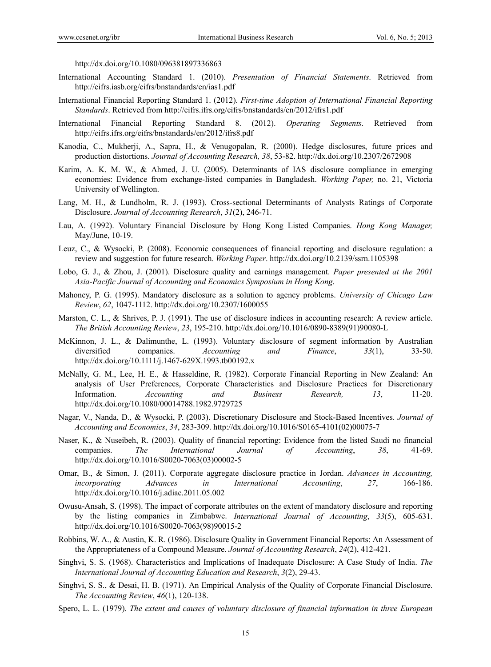http://dx.doi.org/10.1080/096381897336863

- International Accounting Standard 1. (2010). *Presentation of Financial Statements*. Retrieved from http://eifrs.iasb.org/eifrs/bnstandards/en/ias1.pdf
- International Financial Reporting Standard 1. (2012). *First-time Adoption of International Financial Reporting Standards*. Retrieved from http://eifrs.ifrs.org/eifrs/bnstandards/en/2012/ifrs1.pdf
- International Financial Reporting Standard 8. (2012). *Operating Segments*. Retrieved from http://eifrs.ifrs.org/eifrs/bnstandards/en/2012/ifrs8.pdf
- Kanodia, C., Mukherji, A., Sapra, H., & Venugopalan, R. (2000). Hedge disclosures, future prices and production distortions. *Journal of Accounting Research, 38*, 53-82. http://dx.doi.org/10.2307/2672908
- Karim, A. K. M. W., & Ahmed, J. U. (2005). Determinants of IAS disclosure compliance in emerging economies: Evidence from exchange-listed companies in Bangladesh. *Working Paper,* no. 21, Victoria University of Wellington.
- Lang, M. H., & Lundholm, R. J. (1993). Cross-sectional Determinants of Analysts Ratings of Corporate Disclosure. *Journal of Accounting Research*, *31*(2), 246-71.
- Lau, A. (1992). Voluntary Financial Disclosure by Hong Kong Listed Companies. *Hong Kong Manager,*  May/June, 10-19.
- Leuz, C., & Wysocki, P. (2008). Economic consequences of financial reporting and disclosure regulation: a review and suggestion for future research. *Working Paper*. http://dx.doi.org/10.2139/ssrn.1105398
- Lobo, G. J., & Zhou, J. (2001). Disclosure quality and earnings management. *Paper presented at the 2001 Asia-Pacific Journal of Accounting and Economics Symposium in Hong Kong*.
- Mahoney, P. G. (1995). Mandatory disclosure as a solution to agency problems. *University of Chicago Law Review*, *62*, 1047-1112. http://dx.doi.org/10.2307/1600055
- Marston, C. L., & Shrives, P. J. (1991). The use of disclosure indices in accounting research: A review article. *The British Accounting Review*, *23*, 195-210. http://dx.doi.org/10.1016/0890-8389(91)90080-L
- McKinnon, J. L., & Dalimunthe, L. (1993). Voluntary disclosure of segment information by Australian diversified companies. *Accounting and Finance*, *33*(1), 33-50. http://dx.doi.org/10.1111/j.1467-629X.1993.tb00192.x
- McNally, G. M., Lee, H. E., & Hasseldine, R. (1982). Corporate Financial Reporting in New Zealand: An analysis of User Preferences, Corporate Characteristics and Disclosure Practices for Discretionary Information. *Accounting and Business Research, 13*, 11-20. http://dx.doi.org/10.1080/00014788.1982.9729725
- Nagar, V., Nanda, D., & Wysocki, P. (2003). Discretionary Disclosure and Stock-Based Incentives. *Journal of Accounting and Economics*, *34*, 283-309. http://dx.doi.org/10.1016/S0165-4101(02)00075-7
- Naser, K., & Nuseibeh, R. (2003). Quality of financial reporting: Evidence from the listed Saudi no financial companies. *The International Journal of Accounting*, *38*, 41-69. http://dx.doi.org/10.1016/S0020-7063(03)00002-5
- Omar, B., & Simon, J. (2011). Corporate aggregate disclosure practice in Jordan. *Advances in Accounting, incorporating Advances in International Accounting*, *27*, 166-186. http://dx.doi.org/10.1016/j.adiac.2011.05.002
- Owusu-Ansah, S. (1998). The impact of corporate attributes on the extent of mandatory disclosure and reporting by the listing companies in Zimbabwe. *International Journal of Accounting*, *33*(5), 605-631. http://dx.doi.org/10.1016/S0020-7063(98)90015-2
- Robbins, W. A., & Austin, K. R. (1986). Disclosure Quality in Government Financial Reports: An Assessment of the Appropriateness of a Compound Measure. *Journal of Accounting Research*, *24*(2), 412-421.
- Singhvi, S. S. (1968). Characteristics and Implications of Inadequate Disclosure: A Case Study of India. *The International Journal of Accounting Education and Research*, *3*(2), 29-43.
- Singhvi, S. S., & Desai, H. B. (1971). An Empirical Analysis of the Quality of Corporate Financial Disclosure. *The Accounting Review*, *46*(1), 120-138.
- Spero, L. L. (1979). *The extent and causes of voluntary disclosure of financial information in three European*